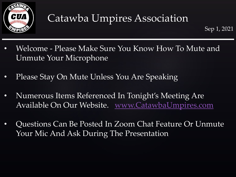

- Welcome Please Make Sure You Know How To Mute and Unmute Your Microphone
- Please Stay On Mute Unless You Are Speaking
- Numerous Items Referenced In Tonight's Meeting Are Available On Our Website. [www.CatawbaUmpires.com](http://www.catawbaumpires.com/)
- Questions Can Be Posted In Zoom Chat Feature Or Unmute Your Mic And Ask During The Presentation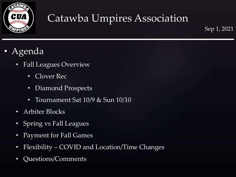

- Agenda
	- Fall Leagues Overview
		- Clover Rec
		- Diamond Prospects
		- Tournament Sat 10/9 & Sun 10/10
	- Arbiter Blocks
	- Spring vs Fall Leagues
	- Payment for Fall Games
	- Flexibility COVID and Location/Time Changes
	- Questions/Comments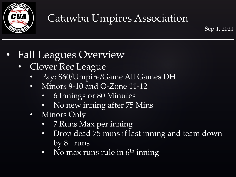

- Fall Leagues Overview
	- Clover Rec League
		- Pay: \$60/Umpire/Game All Games DH
		- Minors 9-10 and O-Zone 11-12
			- 6 Innings or 80 Minutes
			- No new inning after 75 Mins
		- Minors Only
			- 7 Runs Max per inning
			- Drop dead 75 mins if last inning and team down by 8+ runs
			- No max runs rule in  $6<sup>th</sup>$  inning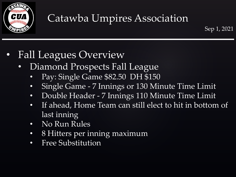

- Fall Leagues Overview
	- Diamond Prospects Fall League
		- Pay: Single Game \$82.50 DH \$150
		- Single Game 7 Innings or 130 Minute Time Limit
		- Double Header 7 Innings 110 Minute Time Limit
		- If ahead, Home Team can still elect to hit in bottom of last inning
		- No Run Rules
		- 8 Hitters per inning maximum
		- Free Substitution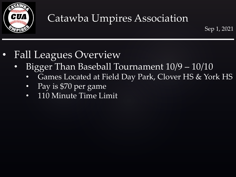

- Fall Leagues Overview
	- Bigger Than Baseball Tournament 10/9 10/10
		- Games Located at Field Day Park, Clover HS & York HS
		- Pay is \$70 per game
		- 110 Minute Time Limit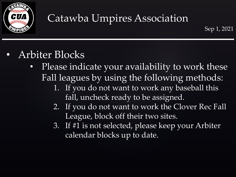

Sep 1, 2021

#### • Arbiter Blocks

- Please indicate your availability to work these Fall leagues by using the following methods:
	- 1. If you do not want to work any baseball this fall, uncheck ready to be assigned.
	- 2. If you do not want to work the Clover Rec Fall League, block off their two sites.
	- 3. If #1 is not selected, please keep your Arbiter calendar blocks up to date.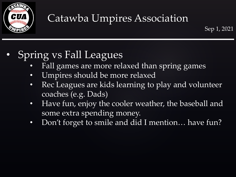

Sep 1, 2021

#### • Spring vs Fall Leagues

- Fall games are more relaxed than spring games
- Umpires should be more relaxed
- Rec Leagues are kids learning to play and volunteer coaches (e.g. Dads)
- Have fun, enjoy the cooler weather, the baseball and some extra spending money.
- Don't forget to smile and did I mention... have fun?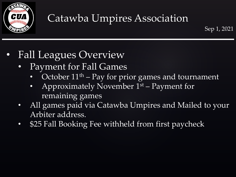

- Fall Leagues Overview
	- Payment for Fall Games
		- October  $11<sup>th</sup>$  Pay for prior games and tournament
		- Approximately November 1st Payment for remaining games
	- All games paid via Catawba Umpires and Mailed to your Arbiter address.
	- \$25 Fall Booking Fee withheld from first paycheck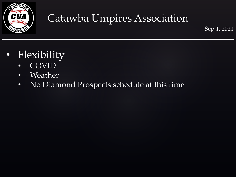

- Flexibility
	- COVID
	- Weather
	- No Diamond Prospects schedule at this time